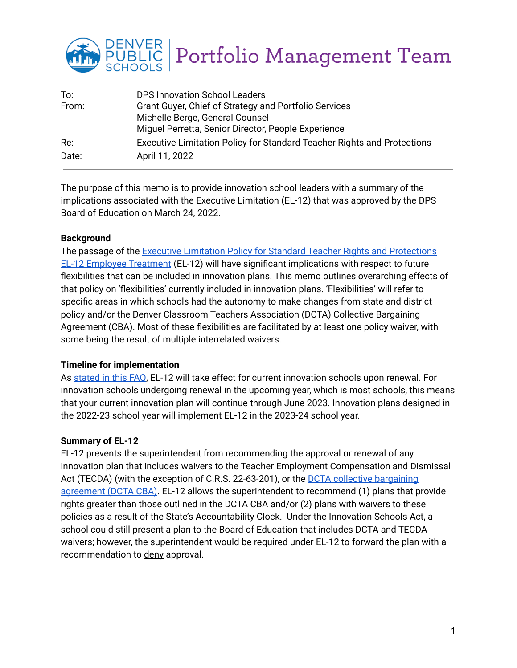

| To:   | <b>DPS Innovation School Leaders</b>                                    |
|-------|-------------------------------------------------------------------------|
| From: | Grant Guyer, Chief of Strategy and Portfolio Services                   |
|       | Michelle Berge, General Counsel                                         |
|       | Miguel Perretta, Senior Director, People Experience                     |
| Re:   | Executive Limitation Policy for Standard Teacher Rights and Protections |
| Date: | April 11, 2022                                                          |

The purpose of this memo is to provide innovation school leaders with a summary of the implications associated with the Executive Limitation (EL-12) that was approved by the DPS Board of Education on March 24, 2022.

### **Background**

The passage of the Executive Limitation Policy for Standard Teacher Rights and [Protections](https://go.boarddocs.com/co/dpsk12/Board.nsf/files/CCR4V20D540D/$file/Revisions%20to%20Proposed%20Executive%20Limitation%2012.pdf) EL-12 Employee [Treatment](https://go.boarddocs.com/co/dpsk12/Board.nsf/files/CCR4V20D540D/$file/Revisions%20to%20Proposed%20Executive%20Limitation%2012.pdf) (EL-12) will have significant implications with respect to future flexibilities that can be included in innovation plans. This memo outlines overarching effects of that policy on 'flexibilities' currently included in innovation plans. 'Flexibilities' will refer to specific areas in which schools had the autonomy to make changes from state and district policy and/or the Denver Classroom Teachers Association (DCTA) Collective Bargaining Agreement (CBA). Most of these flexibilities are facilitated by at least one policy waiver, with some being the result of multiple interrelated waivers.

### **Timeline for implementation**

As [stated](https://www.dpsk12.org/dps-board-of-education-simplifies-proposed-policy-changes-that-would-impact-innovation-schools/) in this FAQ, EL-12 will take effect for current innovation schools upon renewal. For innovation schools undergoing renewal in the upcoming year, which is most schools, this means that your current innovation plan will continue through June 2023. Innovation plans designed in the 2022-23 school year will implement EL-12 in the 2023-24 school year.

### **Summary of EL-12**

EL-12 prevents the superintendent from recommending the approval or renewal of any innovation plan that includes waivers to the Teacher Employment Compensation and Dismissal Act (TECDA) (with the exception of C.R.S. 22-63-201), or the DCTA collective [bargaining](https://denverteachers.org/wp-content/uploads/DCTA-Agreement-2017-2022-with-Financial-Agreement.pdf) [agreement](https://denverteachers.org/wp-content/uploads/DCTA-Agreement-2017-2022-with-Financial-Agreement.pdf) (DCTA CBA). EL-12 allows the superintendent to recommend (1) plans that provide rights greater than those outlined in the DCTA CBA and/or (2) plans with waivers to these policies as a result of the State's Accountability Clock. Under the Innovation Schools Act, a school could still present a plan to the Board of Education that includes DCTA and TECDA waivers; however, the superintendent would be required under EL-12 to forward the plan with a recommendation to deny approval.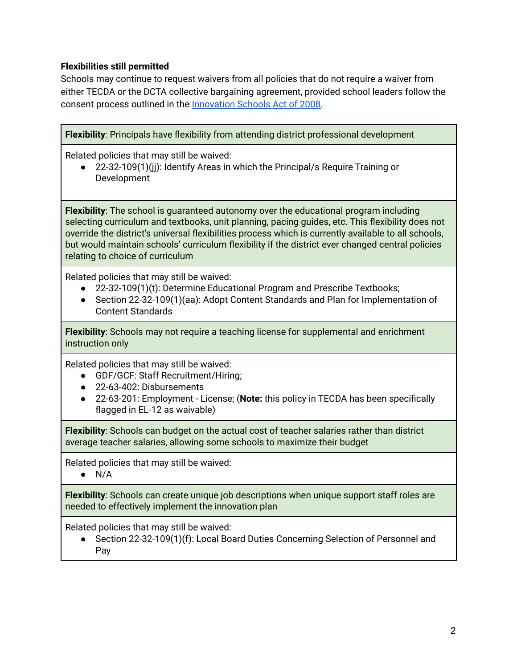## **Flexibilities still permitted**

Schools may continue to request waivers from all policies that do not require a waiver from either TECDA or the DCTA collective bargaining agreement, provided school leaders follow the consent process outlined in the [Innovation](https://www.cde.state.co.us/choice/innovationschoolsstatute) Schools Act of 2008.

**Flexibility**: Principals have flexibility from attending district professional development

Related policies that may still be waived:

22-32-109(1)(jj): Identify Areas in which the Principal/s Require Training or Development

**Flexibility**: The school is guaranteed autonomy over the educational program including selecting curriculum and textbooks, unit planning, pacing guides, etc. This flexibility does not override the district's universal flexibilities process which is currently available to all schools, but would maintain schools' curriculum flexibility if the district ever changed central policies relating to choice of curriculum

Related policies that may still be waived:

- 22-32-109(1)(t): Determine Educational Program and Prescribe Textbooks;
- Section 22-32-109(1)(aa): Adopt Content Standards and Plan for Implementation of Content Standards

**Flexibility**: Schools may not require a teaching license for supplemental and enrichment instruction only

Related policies that may still be waived:

- GDF/GCF: Staff Recruitment/Hiring;
- 22-63-402: Disbursements
- 22-63-201: Employment License; (**Note:** this policy in TECDA has been specifically flagged in EL-12 as waivable)

**Flexibility**: Schools can budget on the actual cost of teacher salaries rather than district average teacher salaries, allowing some schools to maximize their budget

Related policies that may still be waived:

 $\bullet$  N/A

**Flexibility**: Schools can create unique job descriptions when unique support staff roles are needed to effectively implement the innovation plan

Related policies that may still be waived:

● Section 22-32-109(1)(f): Local Board Duties Concerning Selection of Personnel and Pay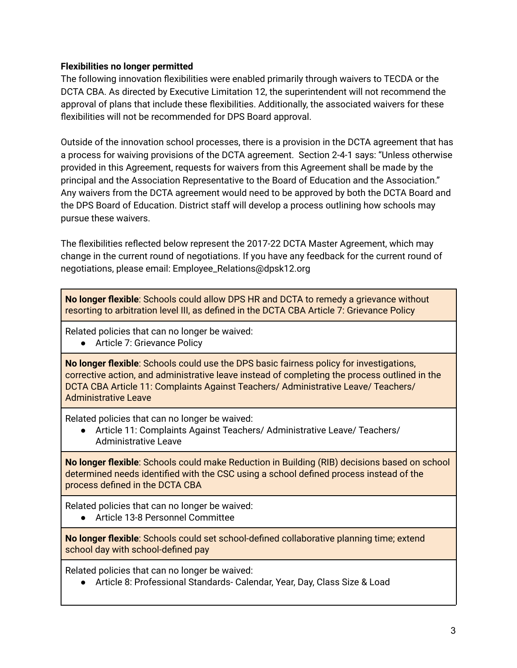## **Flexibilities no longer permitted**

The following innovation flexibilities were enabled primarily through waivers to TECDA or the DCTA CBA. As directed by Executive Limitation 12, the superintendent will not recommend the approval of plans that include these flexibilities. Additionally, the associated waivers for these flexibilities will not be recommended for DPS Board approval.

Outside of the innovation school processes, there is a provision in the DCTA agreement that has a process for waiving provisions of the DCTA agreement. Section 2-4-1 says: "Unless otherwise provided in this Agreement, requests for waivers from this Agreement shall be made by the principal and the Association Representative to the Board of Education and the Association." Any waivers from the DCTA agreement would need to be approved by both the DCTA Board and the DPS Board of Education. District staff will develop a process outlining how schools may pursue these waivers.

The flexibilities reflected below represent the 2017-22 DCTA Master Agreement, which may change in the current round of negotiations. If you have any feedback for the current round of negotiations, please email: Employee\_Relations@dpsk12.org

**No longer flexible**: Schools could allow DPS HR and DCTA to remedy a grievance without resorting to arbitration level III, as defined in the DCTA CBA Article 7: Grievance Policy

Related policies that can no longer be waived:

● Article 7: Grievance Policy

**No longer flexible**: Schools could use the DPS basic fairness policy for investigations, corrective action, and administrative leave instead of completing the process outlined in the DCTA CBA Article 11: Complaints Against Teachers/ Administrative Leave/ Teachers/ Administrative Leave

Related policies that can no longer be waived:

● Article 11: Complaints Against Teachers/ Administrative Leave/ Teachers/ Administrative Leave

**No longer flexible**: Schools could make Reduction in Building (RIB) decisions based on school determined needs identified with the CSC using a school defined process instead of the process defined in the DCTA CBA

Related policies that can no longer be waived:

● Article 13-8 Personnel Committee

**No longer flexible**: Schools could set school-defined collaborative planning time; extend school day with school-defined pay

Related policies that can no longer be waived:

● Article 8: Professional Standards- Calendar, Year, Day, Class Size & Load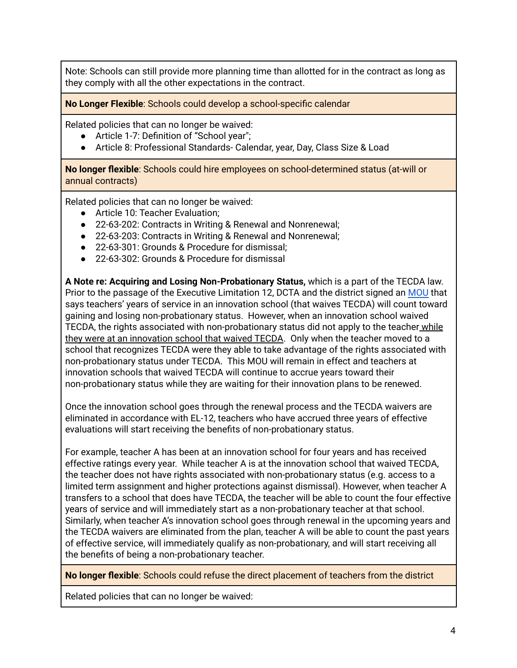Note: Schools can still provide more planning time than allotted for in the contract as long as they comply with all the other expectations in the contract.

**No Longer Flexible**: Schools could develop a school-specific calendar

Related policies that can no longer be waived:

- Article 1-7: Definition of "School year";
- Article 8: Professional Standards- Calendar, year, Day, Class Size & Load

**No longer flexible**: Schools could hire employees on school-determined status (at-will or annual contracts)

Related policies that can no longer be waived:

- Article 10: Teacher Evaluation;
- 22-63-202: Contracts in Writing & Renewal and Nonrenewal;
- 22-63-203: Contracts in Writing & Renewal and Nonrenewal;
- 22-63-301: Grounds & Procedure for dismissal:
- 22-63-302: Grounds & Procedure for dismissal

**A Note re: Acquiring and Losing Non-Probationary Status,** which is a part of the TECDA law. Prior to the passage of the Executive Limitation 12, DCTA and the district signed an [MOU](https://docs.google.com/document/d/1n-xwDHPwKHmFooJ5j6GS9JNooXL2ZdSVYWOntMu75pQ/edit) that says teachers' years of service in an innovation school (that waives TECDA) will count toward gaining and losing non-probationary status. However, when an innovation school waived TECDA, the rights associated with non-probationary status did not apply to the teacher while they were at an innovation school that waived TECDA. Only when the teacher moved to a school that recognizes TECDA were they able to take advantage of the rights associated with non-probationary status under TECDA. This MOU will remain in effect and teachers at innovation schools that waived TECDA will continue to accrue years toward their non-probationary status while they are waiting for their innovation plans to be renewed.

Once the innovation school goes through the renewal process and the TECDA waivers are eliminated in accordance with EL-12, teachers who have accrued three years of effective evaluations will start receiving the benefits of non-probationary status.

For example, teacher A has been at an innovation school for four years and has received effective ratings every year. While teacher A is at the innovation school that waived TECDA, the teacher does not have rights associated with non-probationary status (e.g. access to a limited term assignment and higher protections against dismissal). However, when teacher A transfers to a school that does have TECDA, the teacher will be able to count the four effective years of service and will immediately start as a non-probationary teacher at that school. Similarly, when teacher A's innovation school goes through renewal in the upcoming years and the TECDA waivers are eliminated from the plan, teacher A will be able to count the past years of effective service, will immediately qualify as non-probationary, and will start receiving all the benefits of being a non-probationary teacher.

**No longer flexible**: Schools could refuse the direct placement of teachers from the district

Related policies that can no longer be waived: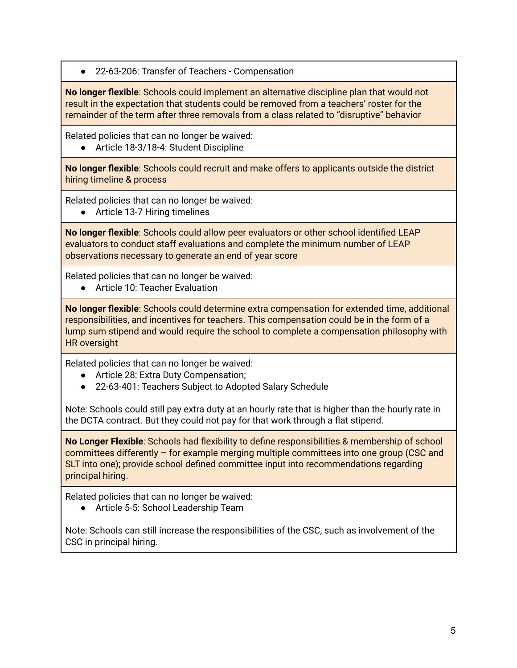22-63-206: Transfer of Teachers - Compensation

**No longer flexible**: Schools could implement an alternative discipline plan that would not result in the expectation that students could be removed from a teachers' roster for the remainder of the term after three removals from a class related to "disruptive" behavior

Related policies that can no longer be waived:

● Article 18-3/18-4: Student Discipline

**No longer flexible**: Schools could recruit and make offers to applicants outside the district hiring timeline & process

Related policies that can no longer be waived:

● Article 13-7 Hiring timelines

**No longer flexible**: Schools could allow peer evaluators or other school identified LEAP evaluators to conduct staff evaluations and complete the minimum number of LEAP observations necessary to generate an end of year score

Related policies that can no longer be waived:

● Article 10: Teacher Evaluation

**No longer flexible**: Schools could determine extra compensation for extended time, additional responsibilities, and incentives for teachers. This compensation could be in the form of a lump sum stipend and would require the school to complete a compensation philosophy with HR oversight

Related policies that can no longer be waived:

- Article 28: Extra Duty Compensation;
- 22-63-401: Teachers Subject to Adopted Salary Schedule

Note: Schools could still pay extra duty at an hourly rate that is higher than the hourly rate in the DCTA contract. But they could not pay for that work through a flat stipend.

**No Longer Flexible**: Schools had flexibility to define responsibilities & membership of school committees differently – for example merging multiple committees into one group (CSC and SLT into one); provide school defined committee input into recommendations regarding principal hiring.

Related policies that can no longer be waived:

● Article 5-5: School Leadership Team

Note: Schools can still increase the responsibilities of the CSC, such as involvement of the CSC in principal hiring.